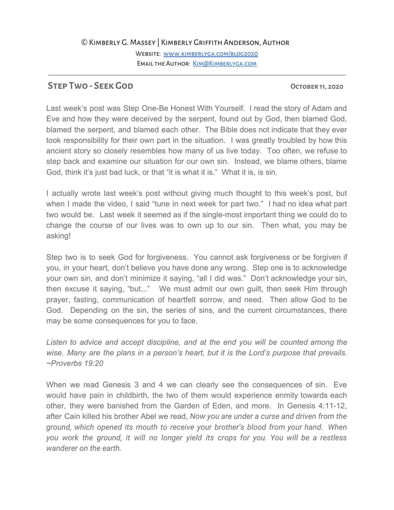## ©Kimberly G. Massey | Kimberly Griffith Anderson, Author

WEBSITE: WWW.KIMBERLYGA.COM/BLOG2020 EMAIL THE AUTHOR: KIM@KIMBERLYGA.COM

## **STEP TWO - SEEK GOD OCTOBER 11, 2020**

Last week's post was Step One-Be Honest With Yourself. I read the story of Adam and Eve and how they were deceived by the serpent, found out by God, then blamed God, blamed the serpent, and blamed each other. The Bible does not indicate that they ever took responsibility for their own part in the situation. I was greatly troubled by how this ancient story so closely resembles how many of us live today. Too often, we refuse to step back and examine our situation for our own sin. Instead, we blame others, blame God, think it's just bad luck, or that "it is what it is." What it is, is sin.

I actually wrote last week's post without giving much thought to this week's post, but when I made the video, I said "tune in next week for part two." I had no idea what part two would be. Last week it seemed as if the single-most important thing we could do to change the course of our lives was to own up to our sin. Then what, you may be asking!

Step two is to seek God for forgiveness. You cannot ask forgiveness or be forgiven if you, in your heart, don't believe you have done any wrong. Step one is to acknowledge your own sin, and don't minimize it saying, "all I did was." Don't acknowledge your sin, then excuse it saying, "but..." We must admit our own guilt, then seek Him through prayer, fasting, communication of heartfelt sorrow, and need. Then allow God to be God. Depending on the sin, the series of sins, and the current circumstances, there may be some consequences for you to face.

*Listen to advice and accept discipline, and at the end you will be counted among the wise. Many are the plans in a person's heart, but it is the Lord's purpose that prevails. ~Proverbs 19:20*

When we read Genesis 3 and 4 we can clearly see the consequences of sin. Eve would have pain in childbirth, the two of them would experience enmity towards each other, they were banished from the Garden of Eden, and more. In Genesis 4:11-12, after Cain killed his brother Abel we read, *Now you are under a curse and driven from the ground, which opened its mouth to receive your brother's blood from your hand. When you work the ground, it will no longer yield its crops for you. You will be a restless wanderer on the earth.*